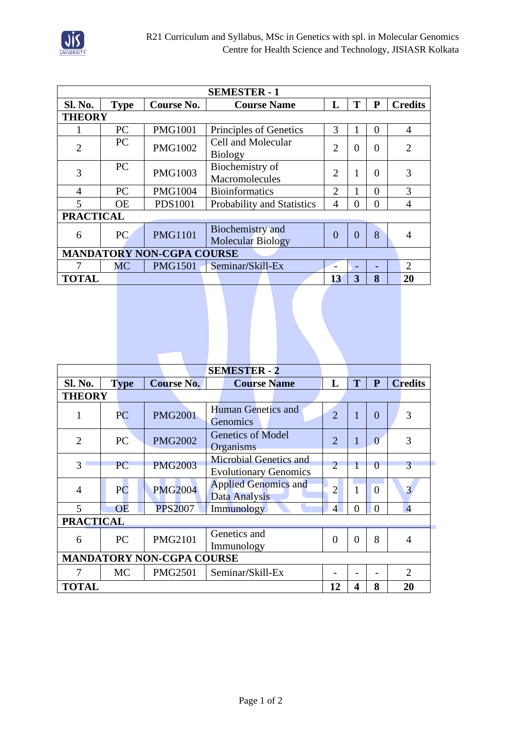

| <b>SEMESTER - 1</b>              |             |                |                                              |                             |          |          |                |  |  |
|----------------------------------|-------------|----------------|----------------------------------------------|-----------------------------|----------|----------|----------------|--|--|
| Sl. No.                          | <b>Type</b> | Course No.     | <b>Course Name</b>                           | L                           | T        | P        | <b>Credits</b> |  |  |
| <b>THEORY</b>                    |             |                |                                              |                             |          |          |                |  |  |
|                                  | PC          | <b>PMG1001</b> | Principles of Genetics                       | 3                           | 1        | $\Omega$ | $\overline{4}$ |  |  |
| $\overline{2}$                   | PC          | <b>PMG1002</b> | Cell and Molecular<br><b>Biology</b>         | $\overline{2}$              | $\theta$ | $\Omega$ | $\overline{2}$ |  |  |
| 3                                | PC          | <b>PMG1003</b> | $\overline{2}$                               | 1                           | $\theta$ | 3        |                |  |  |
| 4                                | PC          | <b>PMG1004</b> | <b>Bioinformatics</b>                        | $\mathcal{D}_{\mathcal{L}}$ |          | $\theta$ | 3              |  |  |
| 5                                | <b>OE</b>   | <b>PDS1001</b> | Probability and Statistics                   | $\overline{4}$              | 0        | $\theta$ | $\overline{4}$ |  |  |
| <b>PRACTICAL</b>                 |             |                |                                              |                             |          |          |                |  |  |
| 6                                | PC.         | <b>PMG1101</b> | Biochemistry and<br><b>Molecular Biology</b> | $\theta$                    | $\theta$ | 8        | 4              |  |  |
| <b>MANDATORY NON-CGPA COURSE</b> |             |                |                                              |                             |          |          |                |  |  |
| 7                                | <b>MC</b>   | <b>PMG1501</b> | Seminar/Skill-Ex                             |                             |          |          | $\overline{2}$ |  |  |
| <b>TOTAL</b>                     |             |                |                                              | 13                          | 3        | 8        | 20             |  |  |

|                                  |             |  |                   |                                                        | <b>SEMESTER - 2</b>                   |  |                |              |          |  |                |
|----------------------------------|-------------|--|-------------------|--------------------------------------------------------|---------------------------------------|--|----------------|--------------|----------|--|----------------|
| Sl. No.                          | <b>Type</b> |  | <b>Course No.</b> |                                                        | <b>Course Name</b>                    |  | L              | T            | P        |  | <b>Credits</b> |
| <b>THEORY</b>                    |             |  |                   |                                                        |                                       |  |                |              |          |  |                |
| 1                                | <b>PC</b>   |  | <b>PMG2001</b>    |                                                        | <b>Human Genetics and</b><br>Genomics |  | $\overline{2}$ | 1            | $\theta$ |  | 3              |
| $\overline{2}$                   | PC          |  | <b>PMG2002</b>    | <b>Genetics of Model</b><br>Organisms                  |                                       |  | $\overline{2}$ | $\mathbf{1}$ | $\Omega$ |  | 3              |
| $\overline{3}$                   | <b>PC</b>   |  | <b>PMG2003</b>    | Microbial Genetics and<br><b>Evolutionary Genomics</b> |                                       |  | $\overline{2}$ | $\mathbf{1}$ | $\Omega$ |  | 3              |
| 4                                | PC          |  | <b>PMG2004</b>    | <b>Applied Genomics and</b><br><b>Data Analysis</b>    |                                       |  | $\overline{2}$ | $\mathbf{1}$ | $\Omega$ |  | $\overline{3}$ |
| 5                                | <b>OE</b>   |  | <b>PPS2007</b>    |                                                        | Immunology                            |  | $\overline{4}$ | $\theta$     | $\theta$ |  | $\overline{4}$ |
| <b>PRACTICAL</b>                 |             |  |                   |                                                        |                                       |  |                |              |          |  |                |
| 6                                | PC          |  | <b>PMG2101</b>    | Genetics and<br>Immunology                             |                                       |  | $\overline{0}$ | 0            | 8        |  | 4              |
| <b>MANDATORY NON-CGPA COURSE</b> |             |  |                   |                                                        |                                       |  |                |              |          |  |                |
| 7                                | <b>MC</b>   |  | <b>PMG2501</b>    |                                                        | Seminar/Skill-Ex                      |  |                |              |          |  | $\overline{2}$ |
| <b>TOTAL</b>                     |             |  |                   |                                                        |                                       |  | 12             | 4            | 8        |  | 20             |